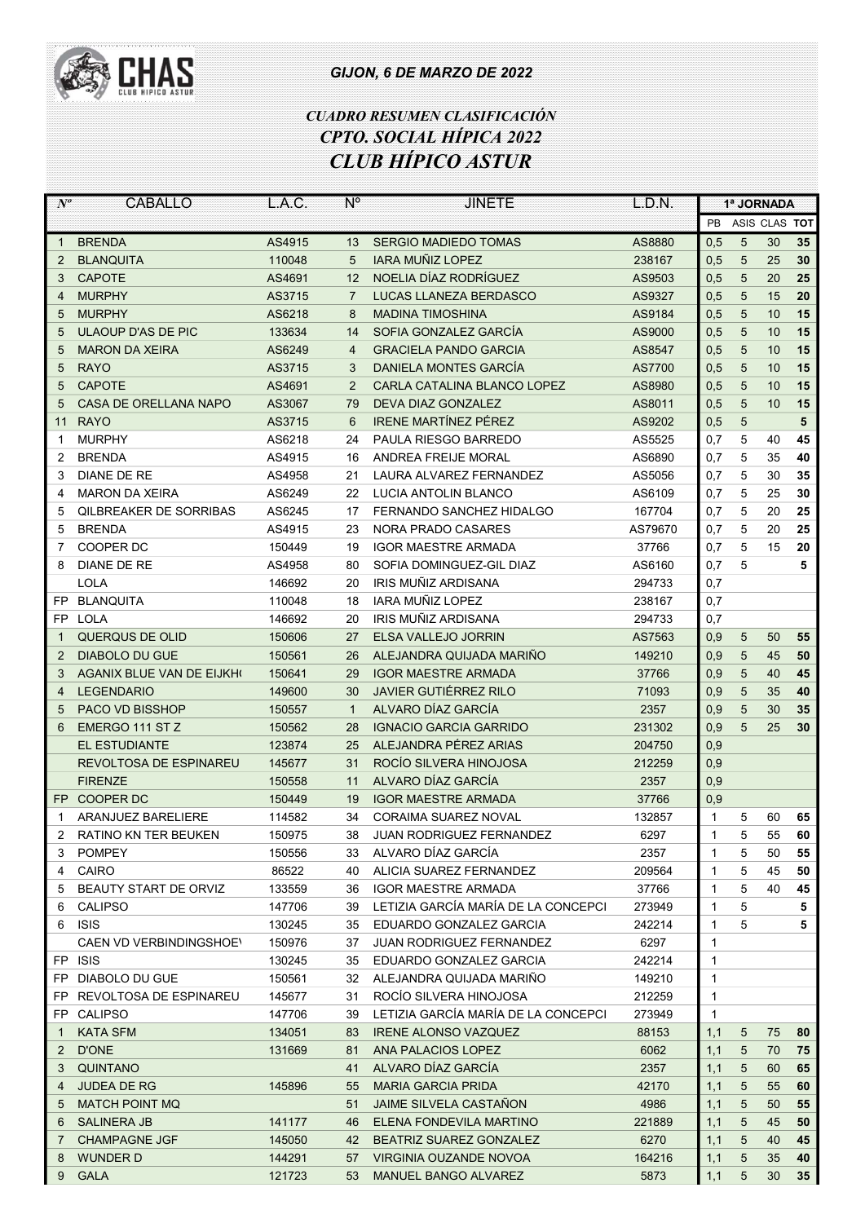

## GIJON, 6 DE MARZO DE 2022

## CUADRO RESUMEN CLASIFICACIÓN CPTO. SOCIAL HÍPICA 2022 CLUB HÍPICO ASTUR

| $N^o$        | CABALLO                         | L.A.C. | $N^{\circ}$    | <b>JINETE</b>                       | L.D.N.  | 1ª JORNADA   |   |               |    |
|--------------|---------------------------------|--------|----------------|-------------------------------------|---------|--------------|---|---------------|----|
|              |                                 |        |                |                                     |         | <b>PB</b>    |   | ASIS CLAS TOT |    |
| $\mathbf{1}$ | <b>BRENDA</b>                   | AS4915 | 13             | <b>SERGIO MADIEDO TOMAS</b>         | AS8880  | 0,5          | 5 | 30            | 35 |
| 2            | <b>BLANQUITA</b>                | 110048 | 5              | <b>IARA MUÑIZ LOPEZ</b>             | 238167  | 0,5          | 5 | 25            | 30 |
| 3            | <b>CAPOTE</b>                   | AS4691 | 12             | NOELIA DÍAZ RODRÍGUEZ               | AS9503  | 0,5          | 5 | 20            | 25 |
| 4            | <b>MURPHY</b>                   | AS3715 | $\overline{7}$ | LUCAS LLANEZA BERDASCO              | AS9327  | 0,5          | 5 | 15            | 20 |
| 5            | <b>MURPHY</b>                   | AS6218 | 8              | <b>MADINA TIMOSHINA</b>             | AS9184  | 0,5          | 5 | 10            | 15 |
| 5            | ULAOUP D'AS DE PIC              | 133634 | 14             | SOFIA GONZALEZ GARCÍA               | AS9000  | 0,5          | 5 | 10            | 15 |
| 5            | <b>MARON DA XEIRA</b>           | AS6249 | $\overline{4}$ | <b>GRACIELA PANDO GARCIA</b>        | AS8547  | 0,5          | 5 | 10            | 15 |
| 5            | <b>RAYO</b>                     | AS3715 | 3              | DANIELA MONTES GARCÍA               | AS7700  | 0,5          | 5 | 10            | 15 |
| 5            | <b>CAPOTE</b>                   | AS4691 | $\overline{2}$ | CARLA CATALINA BLANCO LOPEZ         | AS8980  | 0,5          | 5 | 10            | 15 |
| 5            | CASA DE ORELLANA NAPO           | AS3067 | 79             | <b>DEVA DIAZ GONZALEZ</b>           | AS8011  | 0,5          | 5 | 10            | 15 |
| 11           | <b>RAYO</b>                     | AS3715 | 6              | <b>IRENE MARTÍNEZ PÉREZ</b>         | AS9202  | 0,5          | 5 |               | 5  |
| 1            | <b>MURPHY</b>                   | AS6218 | 24             | PAULA RIESGO BARREDO                | AS5525  | 0,7          | 5 | 40            | 45 |
| 2            | <b>BRENDA</b>                   | AS4915 | 16             | ANDREA FREIJE MORAL                 | AS6890  | 0,7          | 5 | 35            | 40 |
| 3            | DIANE DE RE                     | AS4958 | 21             | LAURA ALVAREZ FERNANDEZ             | AS5056  | 0,7          | 5 | 30            | 35 |
| 4            | <b>MARON DA XEIRA</b>           | AS6249 | 22             | <b>LUCIA ANTOLIN BLANCO</b>         | AS6109  | 0,7          | 5 | 25            | 30 |
| 5            | <b>OILBREAKER DE SORRIBAS</b>   | AS6245 | 17             | <b>FERNANDO SANCHEZ HIDALGO</b>     | 167704  | 0,7          | 5 |               | 25 |
|              |                                 |        |                |                                     |         |              |   | 20            |    |
| 5            | <b>BRENDA</b>                   | AS4915 | 23             | <b>NORA PRADO CASARES</b>           | AS79670 | 0,7          | 5 | 20            | 25 |
| 7            | COOPER DC                       | 150449 | 19             | <b>IGOR MAESTRE ARMADA</b>          | 37766   | 0,7          | 5 | 15            | 20 |
| 8            | <b>DIANE DE RE</b>              | AS4958 | 80             | SOFIA DOMINGUEZ-GIL DIAZ            | AS6160  | 0,7          | 5 |               | 5  |
|              | <b>LOLA</b>                     | 146692 | 20             | IRIS MUÑIZ ARDISANA                 | 294733  | 0,7          |   |               |    |
| FP           | <b>BLANQUITA</b>                | 110048 | 18             | <b>IARA MUÑIZ LOPEZ</b>             | 238167  | 0,7          |   |               |    |
| FP           | <b>LOLA</b>                     | 146692 | 20             | IRIS MUÑIZ ARDISANA                 | 294733  | 0,7          |   |               |    |
| 1            | QUERQUS DE OLID                 | 150606 | 27             | <b>ELSA VALLEJO JORRIN</b>          | AS7563  | 0,9          | 5 | 50            | 55 |
| 2            | <b>DIABOLO DU GUE</b>           | 150561 | 26             | ALEJANDRA QUIJADA MARIÑO            | 149210  | 0,9          | 5 | 45            | 50 |
| 3            | <b>AGANIX BLUE VAN DE EIJKH</b> | 150641 | 29             | <b>IGOR MAESTRE ARMADA</b>          | 37766   | 0,9          | 5 | 40            | 45 |
| 4            | <b>LEGENDARIO</b>               | 149600 | 30             | JAVIER GUTIÉRREZ RILO               | 71093   | 0,9          | 5 | 35            | 40 |
| 5            | <b>PACO VD BISSHOP</b>          | 150557 | $\mathbf{1}$   | ALVARO DÍAZ GARCÍA                  | 2357    | 0,9          | 5 | 30            | 35 |
| 6            | EMERGO 111 ST Z                 | 150562 | 28             | <b>IGNACIO GARCIA GARRIDO</b>       | 231302  | 0,9          | 5 | 25            | 30 |
|              | <b>EL ESTUDIANTE</b>            | 123874 | 25             | ALEJANDRA PÉREZ ARIAS               | 204750  | 0,9          |   |               |    |
|              | REVOLTOSA DE ESPINAREU          | 145677 | 31             | ROCÍO SILVERA HINOJOSA              | 212259  | 0,9          |   |               |    |
|              | <b>FIRENZE</b>                  | 150558 | 11             | ALVARO DÍAZ GARCÍA                  | 2357    | 0,9          |   |               |    |
| FP.          | <b>COOPER DC</b>                | 150449 | 19             | <b>IGOR MAESTRE ARMADA</b>          | 37766   | 0,9          |   |               |    |
| 1            | ARANJUEZ BARELIERE              | 114582 | 34             | <b>CORAIMA SUAREZ NOVAL</b>         | 132857  | 1            | 5 | 60            | 65 |
| 2            | RATINO KN TER BEUKEN            | 150975 | 38             | JUAN RODRIGUEZ FERNANDEZ            | 6297    | 1            | 5 | 55            | 60 |
| 3            | POMPEY                          | 150556 | 33             | ALVARO DÍAZ GARCÍA                  | 2357    | 1            | 5 | 50            | 55 |
| 4            | CAIRO                           | 86522  | 40             | ALICIA SUAREZ FERNANDEZ             | 209564  | 1            | 5 | 45            | 50 |
| 5            | BEAUTY START DE ORVIZ           | 133559 | 36             | <b>IGOR MAESTRE ARMADA</b>          | 37766   | 1            | 5 | 40            | 45 |
| 6            | <b>CALIPSO</b>                  | 147706 | 39             | LETIZIA GARCÍA MARÍA DE LA CONCEPCI | 273949  | 1            | 5 |               | 5  |
| 6            | <b>ISIS</b>                     | 130245 | 35             | EDUARDO GONZALEZ GARCIA             | 242214  | 1            | 5 |               | 5  |
|              | CAEN VD VERBINDINGSHOEY         | 150976 | 37             | <b>JUAN RODRIGUEZ FERNANDEZ</b>     | 6297    | 1            |   |               |    |
| FP           | <b>ISIS</b>                     | 130245 | 35             | EDUARDO GONZALEZ GARCIA             | 242214  | $\mathbf{1}$ |   |               |    |
| FP           | DIABOLO DU GUE                  | 150561 | 32             | ALEJANDRA QUIJADA MARIÑO            | 149210  | 1            |   |               |    |
| FP           | REVOLTOSA DE ESPINAREU          | 145677 | 31             | ROCÍO SILVERA HINOJOSA              | 212259  | 1            |   |               |    |
| FP           | <b>CALIPSO</b>                  | 147706 | 39             | LETIZIA GARCÍA MARÍA DE LA CONCEPCI | 273949  | 1            |   |               |    |
| $\mathbf{1}$ | <b>KATA SFM</b>                 | 134051 | 83             | <b>IRENE ALONSO VAZQUEZ</b>         | 88153   | 1,1          | 5 | 75            | 80 |
| $\mathbf{2}$ | D'ONE                           | 131669 | 81             | ANA PALACIOS LOPEZ                  | 6062    | 1,1          | 5 | 70            | 75 |
| 3            | <b>QUINTANO</b>                 |        | 41             | ALVARO DÍAZ GARCÍA                  | 2357    | 1,1          | 5 | 60            | 65 |
| 4            | <b>JUDEA DE RG</b>              | 145896 | 55             | <b>MARIA GARCIA PRIDA</b>           | 42170   | 1,1          | 5 | 55            | 60 |
| 5            | <b>MATCH POINT MQ</b>           |        | 51             | <b>JAIME SILVELA CASTAÑON</b>       | 4986    | 1,1          | 5 | 50            | 55 |
| 6            | <b>SALINERA JB</b>              | 141177 | 46             | ELENA FONDEVILA MARTINO             | 221889  | 1,1          | 5 | 45            | 50 |
| 7            | <b>CHAMPAGNE JGF</b>            | 145050 | 42             | BEATRIZ SUAREZ GONZALEZ             | 6270    | 1,1          | 5 | 40            | 45 |
| 8            | <b>WUNDER D</b>                 | 144291 | 57             | VIRGINIA OUZANDE NOVOA              | 164216  | 1,1          | 5 | 35            | 40 |
| 9            | <b>GALA</b>                     | 121723 | 53             | MANUEL BANGO ALVAREZ                | 5873    | 1,1          | 5 | 30            | 35 |
|              |                                 |        |                |                                     |         |              |   |               |    |